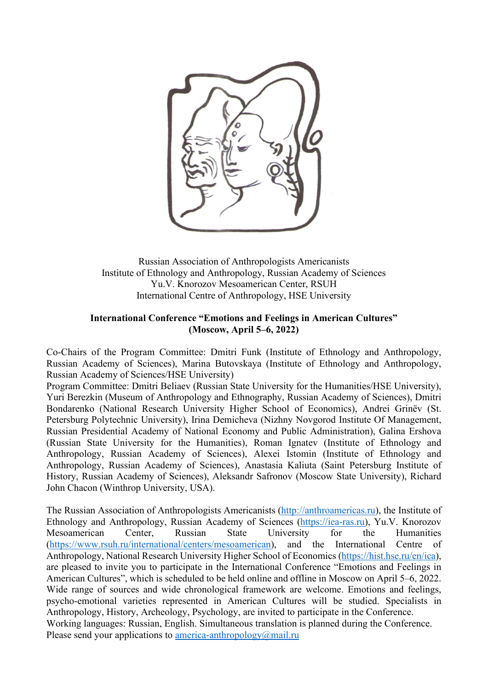

Russian Association of Anthropologists Americanists Institute of Ethnology and Anthropology, Russian Academy of Sciences Yu.V. Knorozov Mesoamerican Center, RSUH International Centre of Anthropology, HSE University

## **International Conference "Emotions and Feelings in American Cultures" (Moscow, April 5–6, 2022)**

Co-Chairs of the Program Committee: Dmitri Funk (Institute of Ethnology and Anthropology, Russian Academy of Sciences), Marina Butovskaya (Institute of Ethnology and Anthropology, Russian Academy of Sciences/HSE University)

Program Committee: Dmitri Beliaev (Russian State University for the Humanities/HSE University), Yuri Berezkin (Museum of Anthropology and Ethnography, Russian Academy of Sciences), Dmitri Bondarenko (National Research University Higher School of Economics), Andrei Grinëv (St. Petersburg Polytechnic University), Irina Demicheva (Nizhny Novgorod Institute Of Management, Russian Presidential Academy of National Economy and Public Administration), Galina Ershova (Russian State University for the Humanities), Roman Ignatev (Institute of Ethnology and Anthropology, Russian Academy of Sciences), Alexei Istomin (Institute of Ethnology and Anthropology, Russian Academy of Sciences), Anastasia Kaliuta (Saint Petersburg Institute of History, Russian Academy of Sciences), Aleksandr Safronov (Moscow State University), Richard John Chacon (Winthrop University, USA).

The Russian Association of Anthropologists Americanists [\(http://anthroamericas.ru\)](http://anthroamericas.ru/), the Institute of Ethnology and Anthropology, Russian Academy of Sciences [\(https://iea-ras.ru\)](https://iea-ras.ru/), Yu.V. Knorozov Mesoamerican Center, Russian State University for the Humanities [\(https://www.rsuh.ru/international/centers/mesoamerican\)](https://www.rsuh.ru/international/centers/mesoamerican), and the International Centre of Anthropology, National Research University Higher School of Economics [\(https://hist.hse.ru/en/ica\)](https://hist.hse.ru/en/ica), are pleased to invite you to participate in the International Conference "Emotions and Feelings in American Cultures", which is scheduled to be held online and offline in Moscow on April 5–6, 2022. Wide range of sources and wide chronological framework are welcome. Emotions and feelings, psycho-emotional varieties represented in American Cultures will be studied. Specialists in Anthropology, History, Archeology, Psychology, are invited to participate in the Conference. Working languages: Russian, English. Simultaneous translation is planned during the Conference. Please send your applications to [america-anthropology@mail.ru](mailto:america-anthropology@mail.ru)